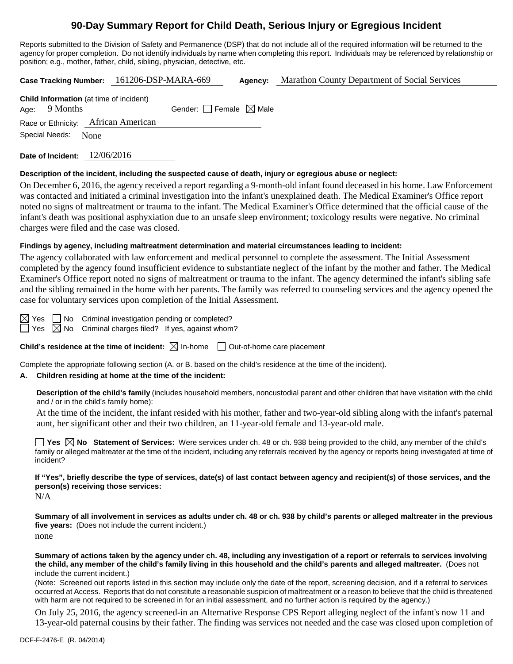# **90-Day Summary Report for Child Death, Serious Injury or Egregious Incident**

Reports submitted to the Division of Safety and Permanence (DSP) that do not include all of the required information will be returned to the agency for proper completion. Do not identify individuals by name when completing this report. Individuals may be referenced by relationship or position; e.g., mother, father, child, sibling, physician, detective, etc.

|  |                                                                   |      | Case Tracking Number: 161206-DSP-MARA-669 |                                 | Agency: | Marathon County Department of Social Services |
|--|-------------------------------------------------------------------|------|-------------------------------------------|---------------------------------|---------|-----------------------------------------------|
|  | <b>Child Information</b> (at time of incident)<br>Age: $9$ Months |      |                                           | Gender: Female $\boxtimes$ Male |         |                                               |
|  |                                                                   |      | Race or Ethnicity: African American       |                                 |         |                                               |
|  | Special Needs:                                                    | None |                                           |                                 |         |                                               |
|  |                                                                   |      |                                           |                                 |         |                                               |

**Date of Incident:** 12/06/2016

#### **Description of the incident, including the suspected cause of death, injury or egregious abuse or neglect:**

On December 6, 2016, the agency received a report regarding a 9-month-old infant found deceased in his home. Law Enforcement was contacted and initiated a criminal investigation into the infant's unexplained death. The Medical Examiner's Office report noted no signs of maltreatment or trauma to the infant. The Medical Examiner's Office determined that the official cause of the infant's death was positional asphyxiation due to an unsafe sleep environment; toxicology results were negative. No criminal charges were filed and the case was closed.

#### **Findings by agency, including maltreatment determination and material circumstances leading to incident:**

The agency collaborated with law enforcement and medical personnel to complete the assessment. The Initial Assessment completed by the agency found insufficient evidence to substantiate neglect of the infant by the mother and father. The Medical Examiner's Office report noted no signs of maltreatment or trauma to the infant. The agency determined the infant's sibling safe and the sibling remained in the home with her parents. The family was referred to counseling services and the agency opened the case for voluntary services upon completion of the Initial Assessment.

 $Yes \tN$ o Criminal investigation pending or completed?  $\Box$  Yes  $\boxtimes$  No Criminal charges filed? If yes, against whom?

**Child's residence at the time of incident:**  $\boxtimes$  In-home  $\Box$  Out-of-home care placement

Complete the appropriate following section (A. or B. based on the child's residence at the time of the incident).

## **A. Children residing at home at the time of the incident:**

**Description of the child's family** (includes household members, noncustodial parent and other children that have visitation with the child and / or in the child's family home):

At the time of the incident, the infant resided with his mother, father and two-year-old sibling along with the infant's paternal aunt, her significant other and their two children, an 11-year-old female and 13-year-old male.

**Yes**  $\boxtimes$  **No** Statement of Services: Were services under ch. 48 or ch. 938 being provided to the child, any member of the child's family or alleged maltreater at the time of the incident, including any referrals received by the agency or reports being investigated at time of incident?

**If "Yes", briefly describe the type of services, date(s) of last contact between agency and recipient(s) of those services, and the person(s) receiving those services:**

N/A

**Summary of all involvement in services as adults under ch. 48 or ch. 938 by child's parents or alleged maltreater in the previous five years:** (Does not include the current incident.) none

**Summary of actions taken by the agency under ch. 48, including any investigation of a report or referrals to services involving the child, any member of the child's family living in this household and the child's parents and alleged maltreater.** (Does not include the current incident.)

(Note: Screened out reports listed in this section may include only the date of the report, screening decision, and if a referral to services occurred at Access. Reports that do not constitute a reasonable suspicion of maltreatment or a reason to believe that the child is threatened with harm are not required to be screened in for an initial assessment, and no further action is required by the agency.)

On July 25, 2016, the agency screened-in an Alternative Response CPS Report alleging neglect of the infant's now 11 and 13-year-old paternal cousins by their father. The finding was services not needed and the case was closed upon completion of